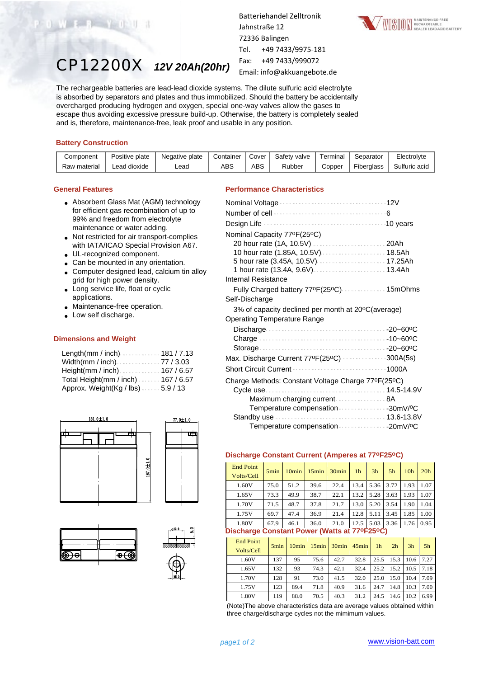

CP12200X *12V 20Ah(20hr)*

Batteriehandel Zelltronik Jahnstraße 12 72336 Balingen Tel. +49 7433/9975-181 Fax: +49 7433/999072 Email: info@akkuangebote.de



The rechargeable batteries are lead-lead dioxide systems. The dilute sulfuric acid electrolyte is absorbed by separators and plates and thus immobilized. Should the battery be accidentally overcharged producing hydrogen and oxygen, special one-way valves allow the gases to escape thus avoiding excessive pressure build-up. Otherwise, the battery is completely sealed and is, therefore, maintenance-free, leak proof and usable in any position.

## **Battery Construction**

| Component    | Positive plate | Negative plate | Container | Cover | Safety valve | -<br>⊺erminal | Separator  | Electrolyte   |
|--------------|----------------|----------------|-----------|-------|--------------|---------------|------------|---------------|
| Raw material | Lead dioxide   | Lead           | ABS       | ABS   | Rubber       | Copper        | Fiberalass | Sulfuric acid |

## **General Features**

- Absorbent Glass Mat (AGM) technology for efficient gas recombination of up to 99% and freedom from electrolyte maintenance or water adding.
- Not restricted for air transport-complies with IATA/ICAO Special Provision A67.
- UL-recognized component.
- Can be mounted in any orientation.
- Computer designed lead, calcium tin alloy grid for high power density.
- Long service life, float or cyclic applications.
- Maintenance-free operation.
- Low self discharge.

## **Dimensions and Weight**

| Length(mm / inch)181 / 7.13           |  |
|---------------------------------------|--|
|                                       |  |
| Height(mm / inch) $\cdots$ 167 / 6.57 |  |
| Total Height(mm / inch) 167 / 6.57    |  |
| Approx. Weight(Kg / lbs). 5.9 / 13    |  |







# **Performance Characteristics**

| Nominal Capacity 77°F(25°C)                        |       |
|----------------------------------------------------|-------|
|                                                    |       |
| 10 hour rate (1.85A, 10.5V) 18.5Ah                 |       |
| 5 hour rate (3.45A, 10.5V)  17.25Ah                |       |
|                                                    |       |
| Internal Resistance                                |       |
| Fully Charged battery 77ºF(25ºC) 15mOhms           |       |
| Self-Discharge                                     |       |
| 3% of capacity declined per month at 20°C(average) |       |
| <b>Operating Temperature Range</b>                 |       |
|                                                    |       |
|                                                    |       |
|                                                    |       |
| Max. Discharge Current 77ºF(25ºC) 300A(5s)         |       |
| <b>Short Circuit Current</b>                       | 1000A |
| Charge Methods: Constant Voltage Charge 77°F(25°C) |       |
|                                                    |       |
| Maximum charging current  8A                       |       |
| Temperature compensation 30mV/ºC                   |       |
|                                                    |       |
|                                                    |       |

## **Discharge Constant Current (Amperes at 77oF25oC)**

| <b>End Point</b><br>Volts/Cell                                                   | 5 <sub>min</sub> | 10 <sub>min</sub> | $15$ min | $30$ min | 1 <sub>h</sub> | 3h   | 5h   | 10 <sub>h</sub> | 20 <sub>h</sub> |
|----------------------------------------------------------------------------------|------------------|-------------------|----------|----------|----------------|------|------|-----------------|-----------------|
| 1.60V                                                                            | 75.0             | 51.2              | 39.6     | 22.4     | 13.4           | 5.36 | 3.72 | 1.93            | 1.07            |
| 1.65V                                                                            | 73.3             | 49.9              | 38.7     | 22.1     | 13.2           | 5.28 | 3.63 | 1.93            | 1.07            |
| 1.70V                                                                            | 71.5             | 48.7              | 37.8     | 21.7     | 13.0           | 5.20 | 3.54 | 1.90            | 1.04            |
| 1.75V                                                                            | 69.7             | 47.4              | 36.9     | 21.4     | 12.8           | 5.11 | 3.45 | 1.85            | 1.00            |
| 1.80V                                                                            | 67.9             | 46.1              | 36.0     | 21.0     | 12.5           | 5.03 | 3.36 | 1.76            | 0.95            |
| $D^1$ aabaxaa $\bigcap$ anatant $D$ awax $\bigwedge D$ atta at 770E950 $\bigcap$ |                  |                   |          |          |                |      |      |                 |                 |

## **Discharge Constant Power (Watts at 77oF25oC)**

| <b>End Point</b><br>Volts/Cell | 5 <sub>min</sub> |      |      | $10min$   $15min$   $30min$   $45min$ |      | 1 <sub>h</sub> | 2 <sub>h</sub> | 3 <sub>h</sub> | 5 <sub>h</sub> |
|--------------------------------|------------------|------|------|---------------------------------------|------|----------------|----------------|----------------|----------------|
| 1.60V                          | 137              | 95   | 75.6 | 42.7                                  | 32.8 | 25.5           | 15.3           | 10.6           | 7.27           |
| 1.65V                          | 132              | 93   | 74.3 | 42.1                                  | 32.4 | 25.2           | 15.2           | 10.5           | 7.18           |
| 1.70V                          | 128              | 91   | 73.0 | 41.5                                  | 32.0 | 25.0           | 15.0           | 10.4           | 7.09           |
| 1.75V                          | 123              | 89.4 | 71.8 | 40.9                                  | 31.6 | 24.7           | 14.8           | 10.3           | 7.00           |
| 1.80V                          | 119              | 88.0 | 70.5 | 40.3                                  | 31.2 | 24.5           | 14.6           | 10.2           | 6.99           |

(Note)The above characteristics data are average values obtained within three charge/discharge cycles not the mimimum values.